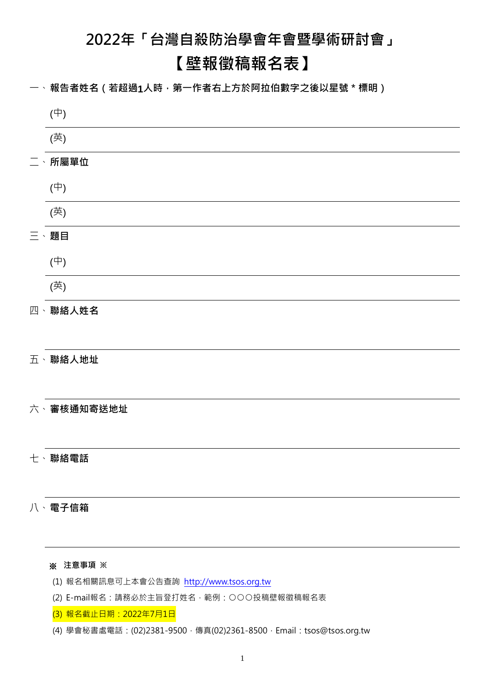# **2022年「台灣自殺防治學會年會暨學術研討會」**

# **【壁報徵稿報名表】**

一、報告者姓名(若超過1人時,第一作者右上方於阿拉伯數字之後以星號 \* 標明)

| $(\oplus)$ |
|------------|
| (英)        |
| 二、所屬單位     |
| $(\oplus)$ |
| (英)        |
| 三、題目       |
| $(\oplus)$ |
| (英)        |
| 四、聯絡人姓名    |
|            |
| 五、聯絡人地址    |
|            |
| 六、審核通知寄送地址 |
|            |
| 七、聯絡電話     |
|            |
| 八、電子信箱     |
|            |
| ※ 注意事項 ※   |

- (1) 報名相關訊息可上本會公告查詢 [http://www.tsos.org.tw](http://www.tsos.org.tw/)
- (2) E-mail報名:請務必於主旨登打姓名,範例:○○○投稿壁報徵稿報名表
- (3) 報名截止日期:2022年7月1日
- (4) 學會秘書處電話: (02)2381-9500, 傳真(02)2361-8500, Email: [tsos@tsos.org.tw](mailto:tsos@tsos.org.tw)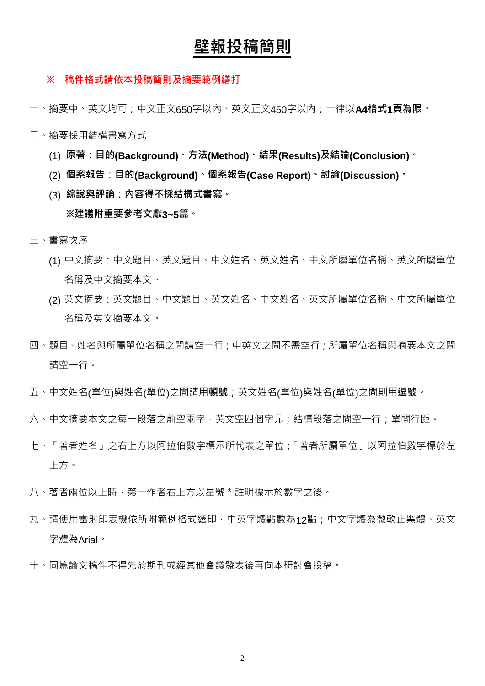# **壁報投稿簡則**

#### **※ 稿件格式請依本投稿簡則及摘要範例繕打**

- 一、摘要中、英文均可;中文正文650字以內、英文正文450字以內;一律以**A4格式1頁為限**。
- 二、摘要採用結構書寫方式
	- (1) **原著**:**目的(Background)、方法(Method)、結果(Results)及結論(Conclusion)。**
	- (2) **個案報告**:**目的(Background)、個案報告(Case Report)、討論(Discussion)。**
	- (3) **綜說與評論:內容得不採結構式書寫。**

#### **※建議附重要參考文獻3~5篇。**

- 三、書寫次序
	- (1) 中文摘要:中文題目、英文題目、中文姓名、英文姓名、中文所屬單位名稱、英文所屬單位 名稱及中文摘要本文。
	- (2) 英文摘要:英文題目、中文題目、英文姓名、中文姓名、英文所屬單位名稱、中文所屬單位 名稱及英文摘要本文。
- 四、題目、姓名與所屬單位名稱之間請空一行;中英文之間不需空行;所屬單位名稱與摘要本文之間 請空一行。
- 五、中文姓名(單位)與姓名(單位)之間請用**頓號**;英文姓名(單位)與姓名(單位)之間則用**逗號**。
- 六、中文摘要本文之每一段落之前空兩字,英文空四個字元;結構段落之間空一行;單間行距。
- 七、「著者姓名」之右上方以阿拉伯數字標示所代表之單位;「著者所屬單位」以阿拉伯數字標於左 上方。
- 八、著者兩位以上時, 第一作者右上方以星號 \* 註明標示於數字之後。
- 力,、請使用雷射印表機依所附範例格式繕印,中英字體點數為12點;中文字體為微軟正黑體、英文 字體為Arial。
- 十、同篇論文稿件不得先於期刊或經其他會議發表後再向本研討會投稿。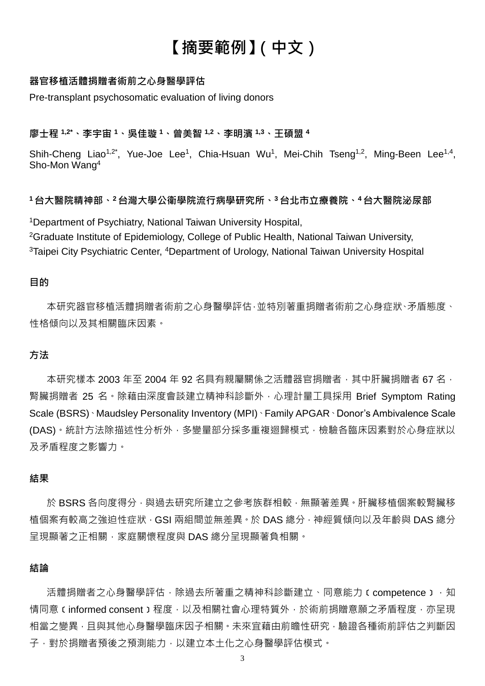# **【摘要範例】(中文)**

### **器官移植活體捐贈者術前之心身醫學評估**

Pre-transplant psychosomatic evaluation of living donors

#### **廖士程 1,2\*、李宇宙 <sup>1</sup>、吳佳璇 <sup>1</sup>、曾美智 1,2、李明濱 1,3、王碩盟 <sup>4</sup>**

Shih-Cheng Liao<sup>1,2\*</sup>, Yue-Joe Lee<sup>1</sup>, Chia-Hsuan Wu<sup>1</sup>, Mei-Chih Tseng<sup>1,2</sup>, Ming-Been Lee<sup>1,4</sup>, Sho-Mon Wang<sup>4</sup>

#### **<sup>1</sup> 台大醫院精神部、<sup>2</sup> 台灣大學公衛學院流行病學研究所、<sup>3</sup> 台北市立療養院、<sup>4</sup> 台大醫院泌尿部**

<sup>1</sup>Department of Psychiatry, National Taiwan University Hospital, <sup>2</sup>Graduate Institute of Epidemiology, College of Public Health, National Taiwan University, <sup>3</sup>Taipei City Psychiatric Center, <sup>4</sup>Department of Urology, National Taiwan University Hospital

#### **目的**

本研究器官移植活體捐贈者術前之心身醫學評估,並特別著重捐贈者術前之心身症狀、矛盾態度、 性格傾向以及其相關臨床因素。

## **方法**

本研究樣本 2003 年至 2004 年 92 名具有親屬關係之活體器官捐贈者,其中肝臟捐贈者 67 名, 腎臟捐贈者 25 名。除藉由深度會談建立精神科診斷外,心理計量工具採用 Brief Symptom Rating Scale (BSRS)、Maudsley Personality Inventory (MPI)、Family APGAR、Donor's Ambivalence Scale (DAS)。統計方法除描述性分析外,多變量部分採多重複迴歸模式,檢驗各臨床因素對於心身症狀以 及矛盾程度之影響力。

#### **結果**

於 BSRS 各向度得分,與過去研究所建立之參考族群相較,無顯著差異。肝臟移植個案較腎臟移 植個案有較高之強迫性症狀,GSI 兩組間並無差異。於 DAS 總分,神經質傾向以及年齡與 DAS 總分 呈現顯著之正相關,家庭關懷程度與 DAS 總分呈現顯著負相關。

#### **結論**

活體捐贈者之心身醫學評估,除過去所著重之精神科診斷建立、同意能力(competence),知 情同意(informed consent)程度,以及相關社會心理特質外,於術前捐贈意願之矛盾程度,亦呈現 相當之變異,且與其他心身醫學臨床因子相關。未來宜藉由前瞻性研究,驗證各種術前評估之判斷因 子,對於捐贈者預後之預測能力,以建立本土化之心身醫學評估模式。